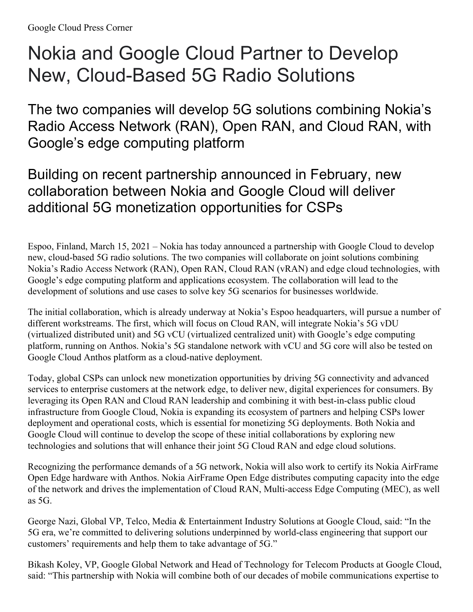## Nokia and Google Cloud Partner to Develop New, Cloud-Based 5G Radio Solutions

The two companies will develop 5G solutions combining Nokia's Radio Access Network (RAN), Open RAN, and Cloud RAN, with Google's edge computing platform

Building on recent partnership announced in February, new collaboration between Nokia and Google Cloud will deliver additional 5G monetization opportunities for CSPs

Espoo, Finland, March 15, 2021 – Nokia has today announced a partnership with Google Cloud to develop new, cloud-based 5G radio solutions. The two companies will collaborate on joint solutions combining Nokia's Radio Access Network (RAN), Open RAN, Cloud RAN (vRAN) and edge cloud technologies, with Google's edge computing platform and applications ecosystem. The collaboration will lead to the development of solutions and use cases to solve key 5G scenarios for businesses worldwide.

The initial collaboration, which is already underway at Nokia's Espoo headquarters, will pursue a number of different workstreams. The first, which will focus on Cloud RAN, will integrate Nokia's 5G vDU (virtualized distributed unit) and 5G vCU (virtualized centralized unit) with Google's edge computing platform, running on Anthos. Nokia's 5G standalone network with vCU and 5G core will also be tested on Google Cloud Anthos platform as a cloud-native deployment.

Today, global CSPs can unlock new monetization opportunities by driving 5G connectivity and advanced services to enterprise customers at the network edge, to deliver new, digital experiences for consumers. By leveraging its Open RAN and Cloud RAN leadership and combining it with best-in-class public cloud infrastructure from Google Cloud, Nokia is expanding its ecosystem of partners and helping CSPs lower deployment and operational costs, which is essential for monetizing 5G deployments. Both Nokia and Google Cloud will continue to develop the scope of these initial collaborations by exploring new technologies and solutions that will enhance their joint 5G Cloud RAN and edge cloud solutions.

Recognizing the performance demands of a 5G network, Nokia will also work to certify its Nokia AirFrame Open Edge hardware with Anthos. Nokia AirFrame Open Edge distributes computing capacity into the edge of the network and drives the implementation of Cloud RAN, Multi-access Edge Computing (MEC), as well as 5G.

George Nazi, Global VP, Telco, Media & Entertainment Industry Solutions at Google Cloud, said: "In the 5G era, we're committed to delivering solutions underpinned by world-class engineering that support our customers' requirements and help them to take advantage of 5G."

Bikash Koley, VP, Google Global Network and Head of Technology for Telecom Products at Google Cloud, said: "This partnership with Nokia will combine both of our decades of mobile communications expertise to